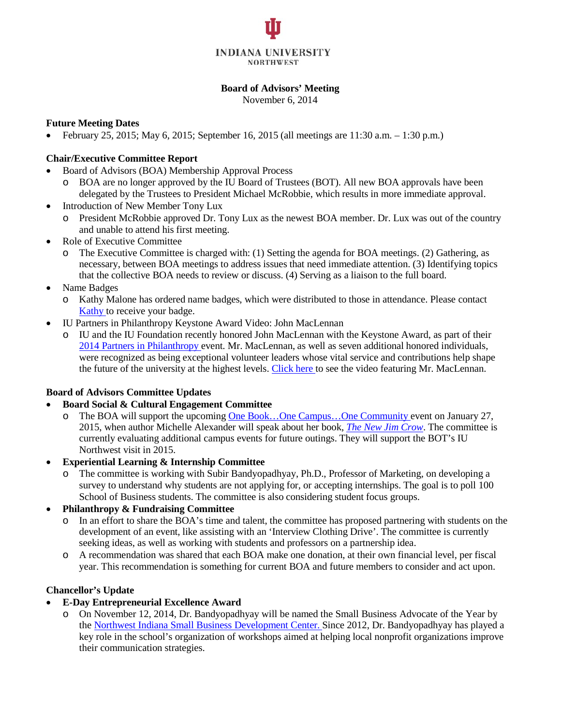

#### **Board of Advisors' Meeting**

November 6, 2014

#### **Future Meeting Dates**

• February 25, 2015; May 6, 2015; September 16, 2015 (all meetings are 11:30 a.m. – 1:30 p.m.)

### **Chair/Executive Committee Report**

- Board of Advisors (BOA) Membership Approval Process
	- o BOA are no longer approved by the IU Board of Trustees (BOT). All new BOA approvals have been delegated by the Trustees to President Michael McRobbie, which results in more immediate approval.
- Introduction of New Member Tony Lux
	- o President McRobbie approved Dr. Tony Lux as the newest BOA member. Dr. Lux was out of the country and unable to attend his first meeting.
- Role of Executive Committee
	- o The Executive Committee is charged with: (1) Setting the agenda for BOA meetings. (2) Gathering, as necessary, between BOA meetings to address issues that need immediate attention. (3) Identifying topics that the collective BOA needs to review or discuss. (4) Serving as a liaison to the full board.
- Name Badges
	- o Kathy Malone has ordered name badges, which were distributed to those in attendance. Please contact [Kathy](mailto:kalmalon@iun.edu) to receive your badge.
- IU Partners in Philanthropy Keystone Award Video: John MacLennan
	- o IU and the IU Foundation recently honored John MacLennan with the Keystone Award, as part of their 2014 Partners [in Philanthropy](http://news.iu.edu/releases/iu/2014/10/2014-partners-in-philanthropy.shtml) event. Mr. MacLennan, as well as seven additional honored individuals, were recognized as being exceptional volunteer leaders whose vital service and contributions help shape the future of the university at the highest levels. [Click](http://iufoundation.iu.edu/video/pip/maclennan/) here to see the video featuring Mr. MacLennan.

### **Board of Advisors Committee Updates**

- **Board Social & Cultural Engagement Committee**
	- o The BOA will support the upcoming One Book…One [Campus…One](http://www.iun.edu/onebook) Community event on January 27, 2015, when author Michelle Alexander will speak about her book, *The New Jim [Crow](http://newjimcrow.com/)*. The committee is currently evaluating additional campus events for future outings. They will support the BOT's IU Northwest visit in 2015.
- **Experiential Learning & Internship Committee**
	- The committee is working with Subir Bandyopadhyay, Ph.D., Professor of Marketing, on developing a survey to understand why students are not applying for, or accepting internships. The goal is to poll 100 School of Business students. The committee is also considering student focus groups.
- **Philanthropy & Fundraising Committee**
	- In an effort to share the BOA's time and talent, the committee has proposed partnering with students on the development of an event, like assisting with an 'Interview Clothing Drive'. The committee is currently seeking ideas, as well as working with students and professors on a partnership idea.
	- o A recommendation was shared that each BOA make one donation, at their own financial level, per fiscal year. This recommendation is something for current BOA and future members to consider and act upon.

### **Chancellor's Update**

### • **E-Day Entrepreneurial Excellence Award**

o On November 12, 2014, Dr. Bandyopadhyay will be named the Small Business Advocate of the Year by the Northwest Indiana Small Business [Development](http://isbdc.org/locations/northwest-isbdc/) Center. Since 2012, Dr. Bandyopadhyay has played a key role in the school's organization of workshops aimed at helping local nonprofit organizations improve their communication strategies.